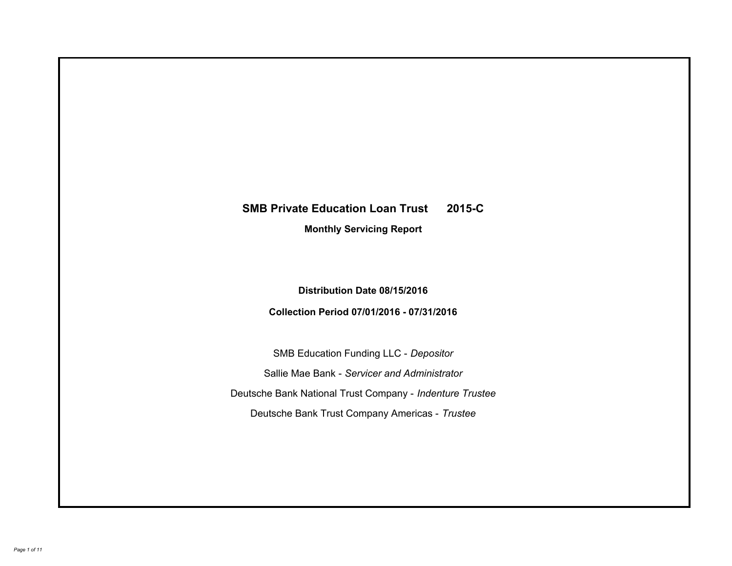# **SMB Private Education Loan Trust 2015-C Monthly Servicing Report**

# **Distribution Date 08/15/2016**

# **Collection Period 07/01/2016 - 07/31/2016**

SMB Education Funding LLC - *Depositor* Sallie Mae Bank - *Servicer and Administrator* Deutsche Bank National Trust Company - *Indenture Trustee* Deutsche Bank Trust Company Americas - *Trustee*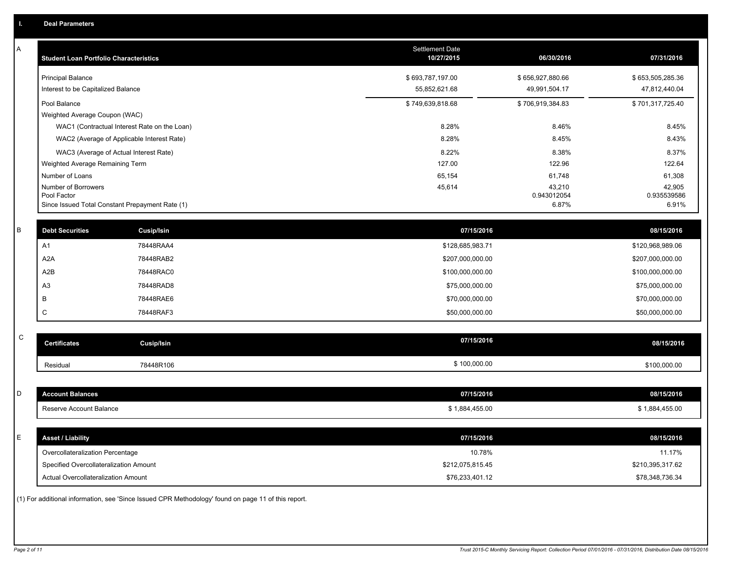| A           | <b>Student Loan Portfolio Characteristics</b>                  |                                                                                                     | Settlement Date<br>10/27/2015     | 06/30/2016                        | 07/31/2016                        |
|-------------|----------------------------------------------------------------|-----------------------------------------------------------------------------------------------------|-----------------------------------|-----------------------------------|-----------------------------------|
|             | <b>Principal Balance</b><br>Interest to be Capitalized Balance |                                                                                                     | \$693,787,197.00<br>55,852,621.68 | \$656,927,880.66<br>49,991,504.17 | \$653,505,285.36<br>47,812,440.04 |
|             | Pool Balance                                                   |                                                                                                     | \$749,639,818.68                  | \$706,919,384.83                  | \$701,317,725.40                  |
|             | Weighted Average Coupon (WAC)                                  |                                                                                                     |                                   |                                   |                                   |
|             |                                                                | WAC1 (Contractual Interest Rate on the Loan)                                                        | 8.28%                             | 8.46%                             | 8.45%                             |
|             |                                                                | WAC2 (Average of Applicable Interest Rate)                                                          | 8.28%                             | 8.45%                             | 8.43%                             |
|             |                                                                | WAC3 (Average of Actual Interest Rate)                                                              | 8.22%                             | 8.38%                             | 8.37%                             |
|             | Weighted Average Remaining Term                                |                                                                                                     | 127.00                            | 122.96                            | 122.64                            |
|             | Number of Loans                                                |                                                                                                     | 65,154                            | 61,748                            | 61,308                            |
|             | Number of Borrowers<br>Pool Factor                             | Since Issued Total Constant Prepayment Rate (1)                                                     | 45,614                            | 43,210<br>0.943012054<br>6.87%    | 42,905<br>0.935539586<br>6.91%    |
|             |                                                                |                                                                                                     |                                   |                                   |                                   |
| B           | <b>Debt Securities</b>                                         | <b>Cusip/Isin</b>                                                                                   | 07/15/2016                        |                                   | 08/15/2016                        |
|             | A <sub>1</sub>                                                 | 78448RAA4                                                                                           | \$128,685,983.71                  |                                   | \$120,968,989.06                  |
|             | A <sub>2</sub> A                                               | 78448RAB2                                                                                           | \$207,000,000.00                  |                                   | \$207,000,000.00                  |
|             | A2B                                                            | 78448RAC0                                                                                           | \$100,000,000.00                  |                                   | \$100,000,000.00                  |
|             | A <sub>3</sub>                                                 | 78448RAD8                                                                                           | \$75,000,000.00                   |                                   | \$75,000,000.00                   |
|             | $\, {\sf B}$                                                   | 78448RAE6                                                                                           | \$70,000,000.00                   |                                   | \$70,000,000.00                   |
|             | $\mathsf{C}$                                                   | 78448RAF3                                                                                           | \$50,000,000.00                   |                                   | \$50,000,000.00                   |
| $\mathsf C$ |                                                                |                                                                                                     |                                   |                                   |                                   |
|             | <b>Certificates</b>                                            | Cusip/Isin                                                                                          | 07/15/2016                        |                                   | 08/15/2016                        |
|             | Residual                                                       | 78448R106                                                                                           | \$100,000.00                      |                                   | \$100,000.00                      |
|             |                                                                |                                                                                                     |                                   |                                   |                                   |
| D           | <b>Account Balances</b>                                        |                                                                                                     | 07/15/2016                        |                                   | 08/15/2016                        |
|             | Reserve Account Balance                                        |                                                                                                     | \$1,884,455.00                    |                                   | \$1,884,455.00                    |
|             |                                                                |                                                                                                     |                                   |                                   |                                   |
| E           | <b>Asset / Liability</b>                                       |                                                                                                     | 07/15/2016                        |                                   | 08/15/2016                        |
|             | Overcollateralization Percentage                               |                                                                                                     | 10.78%                            |                                   | 11.17%                            |
|             | Specified Overcollateralization Amount                         |                                                                                                     | \$212,075,815.45                  |                                   | \$210,395,317.62                  |
|             | Actual Overcollateralization Amount                            |                                                                                                     | \$76,233,401.12                   |                                   | \$78,348,736.34                   |
|             |                                                                | (1) For additional information, see 'Since Issued CPR Methodology' found on page 11 of this report. |                                   |                                   |                                   |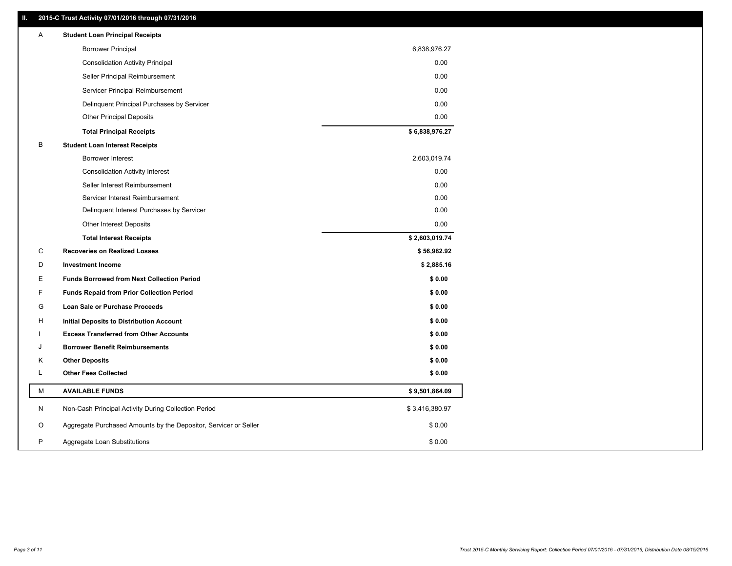## **II. 2015-C Trust Activity 07/01/2016 through 07/31/2016**

| <b>Borrower Principal</b><br>6,838,976.27<br><b>Consolidation Activity Principal</b><br>0.00<br>0.00<br>Seller Principal Reimbursement<br>0.00<br>Servicer Principal Reimbursement<br>0.00<br>Delinquent Principal Purchases by Servicer<br>0.00<br><b>Other Principal Deposits</b><br>\$6,838,976.27<br><b>Total Principal Receipts</b><br>B<br><b>Student Loan Interest Receipts</b><br>2,603,019.74<br>Borrower Interest<br>0.00<br><b>Consolidation Activity Interest</b><br>Seller Interest Reimbursement<br>0.00<br>0.00<br>Servicer Interest Reimbursement<br>Delinquent Interest Purchases by Servicer<br>0.00<br>0.00<br><b>Other Interest Deposits</b><br>\$2,603,019.74<br><b>Total Interest Receipts</b><br>C<br><b>Recoveries on Realized Losses</b><br>\$56,982.92<br>\$2,885.16<br>D<br><b>Investment Income</b><br>Е<br><b>Funds Borrowed from Next Collection Period</b><br>\$0.00<br>F<br>\$0.00<br><b>Funds Repaid from Prior Collection Period</b><br>G<br>\$0.00<br>Loan Sale or Purchase Proceeds<br>\$0.00<br>H<br>Initial Deposits to Distribution Account<br>\$0.00<br><b>Excess Transferred from Other Accounts</b><br>\$0.00<br>J<br><b>Borrower Benefit Reimbursements</b><br>\$0.00<br>Κ<br><b>Other Deposits</b><br>L<br><b>Other Fees Collected</b><br>\$0.00<br>М<br><b>AVAILABLE FUNDS</b><br>\$9,501,864.09<br>N<br>Non-Cash Principal Activity During Collection Period<br>\$3,416,380.97<br>Aggregate Purchased Amounts by the Depositor, Servicer or Seller<br>\$0.00<br>O<br>P<br>\$0.00<br>Aggregate Loan Substitutions | Α | <b>Student Loan Principal Receipts</b> |  |
|----------------------------------------------------------------------------------------------------------------------------------------------------------------------------------------------------------------------------------------------------------------------------------------------------------------------------------------------------------------------------------------------------------------------------------------------------------------------------------------------------------------------------------------------------------------------------------------------------------------------------------------------------------------------------------------------------------------------------------------------------------------------------------------------------------------------------------------------------------------------------------------------------------------------------------------------------------------------------------------------------------------------------------------------------------------------------------------------------------------------------------------------------------------------------------------------------------------------------------------------------------------------------------------------------------------------------------------------------------------------------------------------------------------------------------------------------------------------------------------------------------------------------------------------------------------|---|----------------------------------------|--|
|                                                                                                                                                                                                                                                                                                                                                                                                                                                                                                                                                                                                                                                                                                                                                                                                                                                                                                                                                                                                                                                                                                                                                                                                                                                                                                                                                                                                                                                                                                                                                                |   |                                        |  |
|                                                                                                                                                                                                                                                                                                                                                                                                                                                                                                                                                                                                                                                                                                                                                                                                                                                                                                                                                                                                                                                                                                                                                                                                                                                                                                                                                                                                                                                                                                                                                                |   |                                        |  |
|                                                                                                                                                                                                                                                                                                                                                                                                                                                                                                                                                                                                                                                                                                                                                                                                                                                                                                                                                                                                                                                                                                                                                                                                                                                                                                                                                                                                                                                                                                                                                                |   |                                        |  |
|                                                                                                                                                                                                                                                                                                                                                                                                                                                                                                                                                                                                                                                                                                                                                                                                                                                                                                                                                                                                                                                                                                                                                                                                                                                                                                                                                                                                                                                                                                                                                                |   |                                        |  |
|                                                                                                                                                                                                                                                                                                                                                                                                                                                                                                                                                                                                                                                                                                                                                                                                                                                                                                                                                                                                                                                                                                                                                                                                                                                                                                                                                                                                                                                                                                                                                                |   |                                        |  |
|                                                                                                                                                                                                                                                                                                                                                                                                                                                                                                                                                                                                                                                                                                                                                                                                                                                                                                                                                                                                                                                                                                                                                                                                                                                                                                                                                                                                                                                                                                                                                                |   |                                        |  |
|                                                                                                                                                                                                                                                                                                                                                                                                                                                                                                                                                                                                                                                                                                                                                                                                                                                                                                                                                                                                                                                                                                                                                                                                                                                                                                                                                                                                                                                                                                                                                                |   |                                        |  |
|                                                                                                                                                                                                                                                                                                                                                                                                                                                                                                                                                                                                                                                                                                                                                                                                                                                                                                                                                                                                                                                                                                                                                                                                                                                                                                                                                                                                                                                                                                                                                                |   |                                        |  |
|                                                                                                                                                                                                                                                                                                                                                                                                                                                                                                                                                                                                                                                                                                                                                                                                                                                                                                                                                                                                                                                                                                                                                                                                                                                                                                                                                                                                                                                                                                                                                                |   |                                        |  |
|                                                                                                                                                                                                                                                                                                                                                                                                                                                                                                                                                                                                                                                                                                                                                                                                                                                                                                                                                                                                                                                                                                                                                                                                                                                                                                                                                                                                                                                                                                                                                                |   |                                        |  |
|                                                                                                                                                                                                                                                                                                                                                                                                                                                                                                                                                                                                                                                                                                                                                                                                                                                                                                                                                                                                                                                                                                                                                                                                                                                                                                                                                                                                                                                                                                                                                                |   |                                        |  |
|                                                                                                                                                                                                                                                                                                                                                                                                                                                                                                                                                                                                                                                                                                                                                                                                                                                                                                                                                                                                                                                                                                                                                                                                                                                                                                                                                                                                                                                                                                                                                                |   |                                        |  |
|                                                                                                                                                                                                                                                                                                                                                                                                                                                                                                                                                                                                                                                                                                                                                                                                                                                                                                                                                                                                                                                                                                                                                                                                                                                                                                                                                                                                                                                                                                                                                                |   |                                        |  |
|                                                                                                                                                                                                                                                                                                                                                                                                                                                                                                                                                                                                                                                                                                                                                                                                                                                                                                                                                                                                                                                                                                                                                                                                                                                                                                                                                                                                                                                                                                                                                                |   |                                        |  |
|                                                                                                                                                                                                                                                                                                                                                                                                                                                                                                                                                                                                                                                                                                                                                                                                                                                                                                                                                                                                                                                                                                                                                                                                                                                                                                                                                                                                                                                                                                                                                                |   |                                        |  |
|                                                                                                                                                                                                                                                                                                                                                                                                                                                                                                                                                                                                                                                                                                                                                                                                                                                                                                                                                                                                                                                                                                                                                                                                                                                                                                                                                                                                                                                                                                                                                                |   |                                        |  |
|                                                                                                                                                                                                                                                                                                                                                                                                                                                                                                                                                                                                                                                                                                                                                                                                                                                                                                                                                                                                                                                                                                                                                                                                                                                                                                                                                                                                                                                                                                                                                                |   |                                        |  |
|                                                                                                                                                                                                                                                                                                                                                                                                                                                                                                                                                                                                                                                                                                                                                                                                                                                                                                                                                                                                                                                                                                                                                                                                                                                                                                                                                                                                                                                                                                                                                                |   |                                        |  |
|                                                                                                                                                                                                                                                                                                                                                                                                                                                                                                                                                                                                                                                                                                                                                                                                                                                                                                                                                                                                                                                                                                                                                                                                                                                                                                                                                                                                                                                                                                                                                                |   |                                        |  |
|                                                                                                                                                                                                                                                                                                                                                                                                                                                                                                                                                                                                                                                                                                                                                                                                                                                                                                                                                                                                                                                                                                                                                                                                                                                                                                                                                                                                                                                                                                                                                                |   |                                        |  |
|                                                                                                                                                                                                                                                                                                                                                                                                                                                                                                                                                                                                                                                                                                                                                                                                                                                                                                                                                                                                                                                                                                                                                                                                                                                                                                                                                                                                                                                                                                                                                                |   |                                        |  |
|                                                                                                                                                                                                                                                                                                                                                                                                                                                                                                                                                                                                                                                                                                                                                                                                                                                                                                                                                                                                                                                                                                                                                                                                                                                                                                                                                                                                                                                                                                                                                                |   |                                        |  |
|                                                                                                                                                                                                                                                                                                                                                                                                                                                                                                                                                                                                                                                                                                                                                                                                                                                                                                                                                                                                                                                                                                                                                                                                                                                                                                                                                                                                                                                                                                                                                                |   |                                        |  |
|                                                                                                                                                                                                                                                                                                                                                                                                                                                                                                                                                                                                                                                                                                                                                                                                                                                                                                                                                                                                                                                                                                                                                                                                                                                                                                                                                                                                                                                                                                                                                                |   |                                        |  |
|                                                                                                                                                                                                                                                                                                                                                                                                                                                                                                                                                                                                                                                                                                                                                                                                                                                                                                                                                                                                                                                                                                                                                                                                                                                                                                                                                                                                                                                                                                                                                                |   |                                        |  |
|                                                                                                                                                                                                                                                                                                                                                                                                                                                                                                                                                                                                                                                                                                                                                                                                                                                                                                                                                                                                                                                                                                                                                                                                                                                                                                                                                                                                                                                                                                                                                                |   |                                        |  |
|                                                                                                                                                                                                                                                                                                                                                                                                                                                                                                                                                                                                                                                                                                                                                                                                                                                                                                                                                                                                                                                                                                                                                                                                                                                                                                                                                                                                                                                                                                                                                                |   |                                        |  |
|                                                                                                                                                                                                                                                                                                                                                                                                                                                                                                                                                                                                                                                                                                                                                                                                                                                                                                                                                                                                                                                                                                                                                                                                                                                                                                                                                                                                                                                                                                                                                                |   |                                        |  |
|                                                                                                                                                                                                                                                                                                                                                                                                                                                                                                                                                                                                                                                                                                                                                                                                                                                                                                                                                                                                                                                                                                                                                                                                                                                                                                                                                                                                                                                                                                                                                                |   |                                        |  |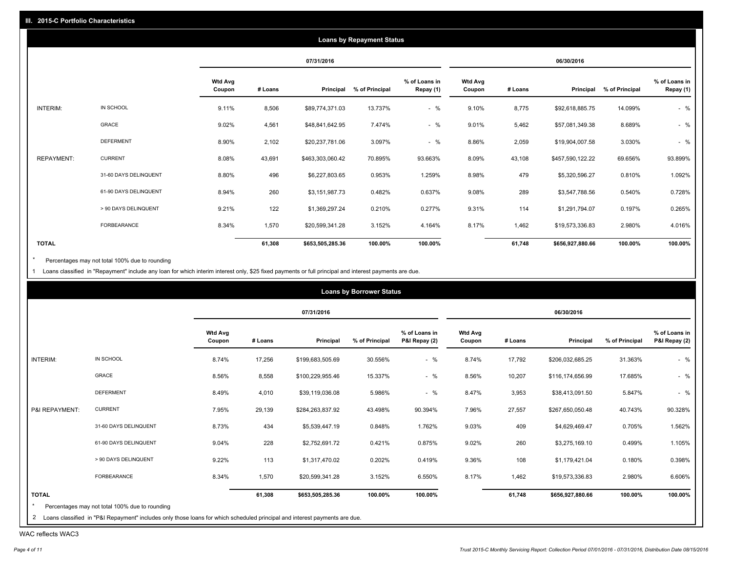|                 |                       |                          |         |                  | <b>Loans by Repayment Status</b> |                            |                          |         |                  |                |                            |
|-----------------|-----------------------|--------------------------|---------|------------------|----------------------------------|----------------------------|--------------------------|---------|------------------|----------------|----------------------------|
|                 |                       |                          |         | 07/31/2016       |                                  |                            |                          |         | 06/30/2016       |                |                            |
|                 |                       | <b>Wtd Avg</b><br>Coupon | # Loans | Principal        | % of Principal                   | % of Loans in<br>Repay (1) | <b>Wtd Avg</b><br>Coupon | # Loans | Principal        | % of Principal | % of Loans in<br>Repay (1) |
| <b>INTERIM:</b> | IN SCHOOL             | 9.11%                    | 8,506   | \$89,774,371.03  | 13.737%                          | $-$ %                      | 9.10%                    | 8,775   | \$92,618,885.75  | 14.099%        | $-$ %                      |
|                 | GRACE                 | 9.02%                    | 4,561   | \$48,841,642.95  | 7.474%                           | $-$ %                      | 9.01%                    | 5,462   | \$57,081,349.38  | 8.689%         | $-$ %                      |
|                 | <b>DEFERMENT</b>      | 8.90%                    | 2,102   | \$20,237,781.06  | 3.097%                           | $-$ %                      | 8.86%                    | 2,059   | \$19,904,007.58  | 3.030%         | $-$ %                      |
| REPAYMENT:      | <b>CURRENT</b>        | 8.08%                    | 43,691  | \$463,303,060.42 | 70.895%                          | 93.663%                    | 8.09%                    | 43,108  | \$457,590,122.22 | 69.656%        | 93.899%                    |
|                 | 31-60 DAYS DELINQUENT | 8.80%                    | 496     | \$6,227,803.65   | 0.953%                           | 1.259%                     | 8.98%                    | 479     | \$5,320,596.27   | 0.810%         | 1.092%                     |
|                 | 61-90 DAYS DELINQUENT | 8.94%                    | 260     | \$3,151,987.73   | 0.482%                           | 0.637%                     | 9.08%                    | 289     | \$3,547,788.56   | 0.540%         | 0.728%                     |
|                 | > 90 DAYS DELINQUENT  | 9.21%                    | 122     | \$1,369,297.24   | 0.210%                           | 0.277%                     | 9.31%                    | 114     | \$1,291,794.07   | 0.197%         | 0.265%                     |
|                 | <b>FORBEARANCE</b>    | 8.34%                    | 1,570   | \$20,599,341.28  | 3.152%                           | 4.164%                     | 8.17%                    | 1,462   | \$19,573,336.83  | 2.980%         | 4.016%                     |
| <b>TOTAL</b>    |                       |                          | 61,308  | \$653,505,285.36 | 100.00%                          | 100.00%                    |                          | 61,748  | \$656,927,880.66 | 100.00%        | 100.00%                    |

Percentages may not total 100% due to rounding  $^\star$ 

1 Loans classified in "Repayment" include any loan for which interim interest only, \$25 fixed payments or full principal and interest payments are due.

|                |                       |                          |         | 07/31/2016       |                |                                |                          |         | 06/30/2016       |                |                                |
|----------------|-----------------------|--------------------------|---------|------------------|----------------|--------------------------------|--------------------------|---------|------------------|----------------|--------------------------------|
|                |                       | <b>Wtd Avg</b><br>Coupon | # Loans | Principal        | % of Principal | % of Loans in<br>P&I Repay (2) | <b>Wtd Avg</b><br>Coupon | # Loans | Principal        | % of Principal | % of Loans in<br>P&I Repay (2) |
| INTERIM:       | IN SCHOOL             | 8.74%                    | 17,256  | \$199,683,505.69 | 30.556%        | $-$ %                          | 8.74%                    | 17,792  | \$206,032,685.25 | 31.363%        | $-$ %                          |
|                | GRACE                 | 8.56%                    | 8,558   | \$100,229,955.46 | 15.337%        | $-$ %                          | 8.56%                    | 10,207  | \$116,174,656.99 | 17.685%        | $-$ %                          |
|                | <b>DEFERMENT</b>      | 8.49%                    | 4,010   | \$39,119,036.08  | 5.986%         | $-$ %                          | 8.47%                    | 3,953   | \$38,413,091.50  | 5.847%         | $-$ %                          |
| P&I REPAYMENT: | <b>CURRENT</b>        | 7.95%                    | 29,139  | \$284,263,837.92 | 43.498%        | 90.394%                        | 7.96%                    | 27,557  | \$267,650,050.48 | 40.743%        | 90.328%                        |
|                | 31-60 DAYS DELINQUENT | 8.73%                    | 434     | \$5,539,447.19   | 0.848%         | 1.762%                         | 9.03%                    | 409     | \$4,629,469.47   | 0.705%         | 1.562%                         |
|                | 61-90 DAYS DELINQUENT | 9.04%                    | 228     | \$2,752,691.72   | 0.421%         | 0.875%                         | 9.02%                    | 260     | \$3,275,169.10   | 0.499%         | 1.105%                         |
|                | > 90 DAYS DELINQUENT  | 9.22%                    | 113     | \$1,317,470.02   | 0.202%         | 0.419%                         | 9.36%                    | 108     | \$1,179,421.04   | 0.180%         | 0.398%                         |
|                | FORBEARANCE           | 8.34%                    | 1,570   | \$20,599,341.28  | 3.152%         | 6.550%                         | 8.17%                    | 1,462   | \$19,573,336.83  | 2.980%         | 6.606%                         |
| <b>TOTAL</b>   |                       |                          | 61,308  | \$653,505,285.36 | 100.00%        | 100.00%                        |                          | 61,748  | \$656,927,880.66 | 100.00%        | 100.00%                        |

WAC reflects WAC3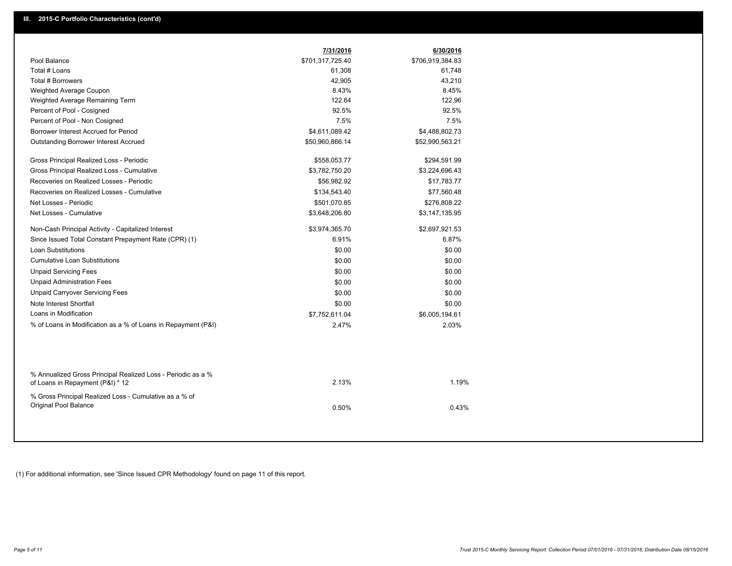|                                                                                                  | 7/31/2016        | 6/30/2016        |
|--------------------------------------------------------------------------------------------------|------------------|------------------|
| Pool Balance                                                                                     | \$701,317,725.40 | \$706,919,384.83 |
| Total # Loans                                                                                    | 61,308           | 61,748           |
| Total # Borrowers                                                                                | 42,905           | 43,210           |
| Weighted Average Coupon                                                                          | 8.43%            | 8.45%            |
| Weighted Average Remaining Term                                                                  | 122.64           | 122.96           |
| Percent of Pool - Cosigned                                                                       | 92.5%            | 92.5%            |
| Percent of Pool - Non Cosigned                                                                   | 7.5%             | 7.5%             |
| Borrower Interest Accrued for Period                                                             | \$4,611,089.42   | \$4,488,802.73   |
| <b>Outstanding Borrower Interest Accrued</b>                                                     | \$50,960,866.14  | \$52,990,563.21  |
| Gross Principal Realized Loss - Periodic                                                         | \$558,053.77     | \$294,591.99     |
| Gross Principal Realized Loss - Cumulative                                                       | \$3,782,750.20   | \$3,224,696.43   |
| Recoveries on Realized Losses - Periodic                                                         | \$56,982.92      | \$17,783.77      |
| Recoveries on Realized Losses - Cumulative                                                       | \$134,543.40     | \$77,560.48      |
| Net Losses - Periodic                                                                            | \$501,070.85     | \$276,808.22     |
| Net Losses - Cumulative                                                                          | \$3,648,206.80   | \$3,147,135.95   |
| Non-Cash Principal Activity - Capitalized Interest                                               | \$3,974,365.70   | \$2,697,921.53   |
| Since Issued Total Constant Prepayment Rate (CPR) (1)                                            | 6.91%            | 6.87%            |
| <b>Loan Substitutions</b>                                                                        | \$0.00           | \$0.00           |
| <b>Cumulative Loan Substitutions</b>                                                             | \$0.00           | \$0.00           |
| <b>Unpaid Servicing Fees</b>                                                                     | \$0.00           | \$0.00           |
| <b>Unpaid Administration Fees</b>                                                                | \$0.00           | \$0.00           |
| <b>Unpaid Carryover Servicing Fees</b>                                                           | \$0.00           | \$0.00           |
| Note Interest Shortfall                                                                          | \$0.00           | \$0.00           |
| Loans in Modification                                                                            | \$7,752,611.04   | \$6,005,194.61   |
| % of Loans in Modification as a % of Loans in Repayment (P&I)                                    | 2.47%            | 2.03%            |
|                                                                                                  |                  |                  |
| % Annualized Gross Principal Realized Loss - Periodic as a %<br>of Loans in Repayment (P&I) * 12 | 2.13%            | 1.19%            |
| % Gross Principal Realized Loss - Cumulative as a % of<br>Original Pool Balance                  | 0.50%            | 0.43%            |

(1) For additional information, see 'Since Issued CPR Methodology' found on page 11 of this report.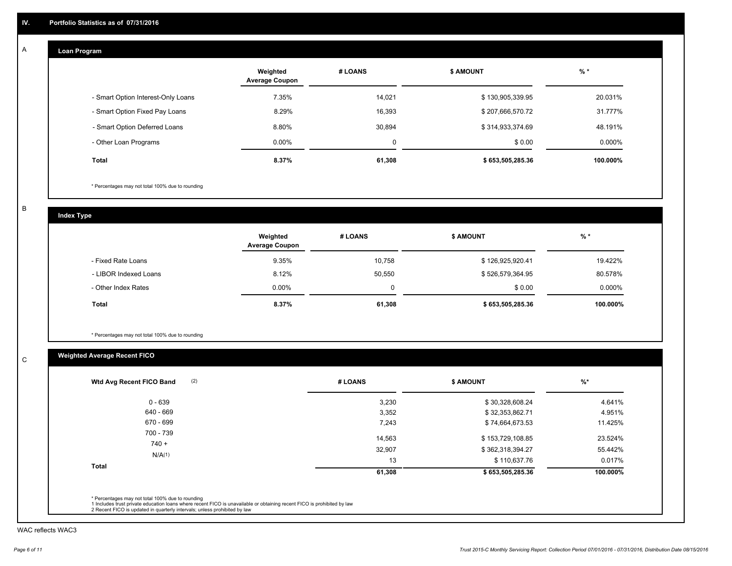## **Loan Program**

|                                    | Weighted<br><b>Average Coupon</b> | # LOANS | <b>\$ AMOUNT</b> | $%$ *     |
|------------------------------------|-----------------------------------|---------|------------------|-----------|
| - Smart Option Interest-Only Loans | 7.35%                             | 14,021  | \$130,905,339.95 | 20.031%   |
| - Smart Option Fixed Pay Loans     | 8.29%                             | 16,393  | \$207,666,570.72 | 31.777%   |
| - Smart Option Deferred Loans      | 8.80%                             | 30,894  | \$314,933,374.69 | 48.191%   |
| - Other Loan Programs              | $0.00\%$                          | 0       | \$0.00           | $0.000\%$ |
| <b>Total</b>                       | 8.37%                             | 61,308  | \$653,505,285.36 | 100.000%  |

\* Percentages may not total 100% due to rounding

B

C

**Index Type**

|                       | Weighted<br><b>Average Coupon</b> | # LOANS | <b>\$ AMOUNT</b> | $%$ *     |
|-----------------------|-----------------------------------|---------|------------------|-----------|
| - Fixed Rate Loans    | 9.35%                             | 10.758  | \$126,925,920.41 | 19.422%   |
| - LIBOR Indexed Loans | 8.12%                             | 50,550  | \$526,579,364.95 | 80.578%   |
| - Other Index Rates   | $0.00\%$                          |         | \$0.00           | $0.000\%$ |
| Total                 | 8.37%                             | 61,308  | \$653,505,285.36 | 100.000%  |

\* Percentages may not total 100% due to rounding

# **Weighted Average Recent FICO**

| 3,230<br>3,352<br>7,243 | \$30,328,608.24<br>\$32,353,862.71<br>\$74,664,673.53 | 4.641%<br>4.951%<br>11.425% |
|-------------------------|-------------------------------------------------------|-----------------------------|
|                         |                                                       |                             |
|                         |                                                       |                             |
|                         |                                                       |                             |
| 14.563                  | \$153,729,108.85                                      | 23.524%                     |
| 32,907                  | \$362,318,394.27                                      | 55.442%                     |
| 13                      | \$110,637.76                                          | 0.017%                      |
| 61,308                  | \$653,505,285.36                                      | 100.000%                    |
|                         |                                                       |                             |

WAC reflects WAC3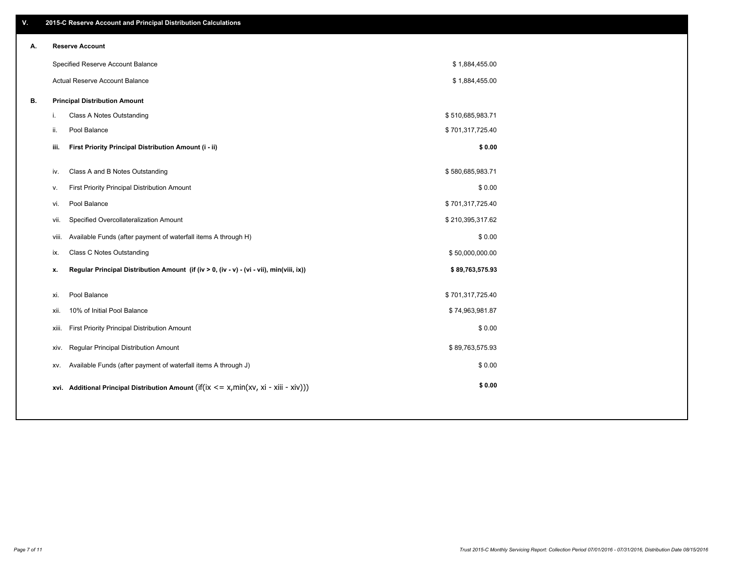| ۷. |    | 2015-C Reserve Account and Principal Distribution Calculations                                 |                  |  |
|----|----|------------------------------------------------------------------------------------------------|------------------|--|
| А. |    | <b>Reserve Account</b>                                                                         |                  |  |
|    |    | Specified Reserve Account Balance                                                              | \$1,884,455.00   |  |
|    |    | Actual Reserve Account Balance                                                                 | \$1,884,455.00   |  |
| В. |    | <b>Principal Distribution Amount</b>                                                           |                  |  |
|    | i. | Class A Notes Outstanding                                                                      | \$510,685,983.71 |  |
|    |    | ii.<br>Pool Balance                                                                            | \$701,317,725.40 |  |
|    |    | First Priority Principal Distribution Amount (i - ii)<br>iii.                                  | \$0.00           |  |
|    |    |                                                                                                |                  |  |
|    |    | Class A and B Notes Outstanding<br>iv.                                                         | \$580,685,983.71 |  |
|    |    | First Priority Principal Distribution Amount<br>v.                                             | \$0.00           |  |
|    |    | Pool Balance<br>vi.                                                                            | \$701,317,725.40 |  |
|    |    | Specified Overcollateralization Amount<br>vii.                                                 | \$210,395,317.62 |  |
|    |    | Available Funds (after payment of waterfall items A through H)<br>viii.                        | \$0.00           |  |
|    |    | Class C Notes Outstanding<br>ix.                                                               | \$50,000,000.00  |  |
|    |    | Regular Principal Distribution Amount (if (iv > 0, (iv - v) - (vi - vii), min(viii, ix))<br>x. | \$89,763,575.93  |  |
|    |    |                                                                                                |                  |  |
|    |    | Pool Balance<br>xi.                                                                            | \$701,317,725.40 |  |
|    |    | 10% of Initial Pool Balance<br>xii.                                                            | \$74,963,981.87  |  |
|    |    | First Priority Principal Distribution Amount<br>xiii.                                          | \$0.00           |  |
|    |    | Regular Principal Distribution Amount<br>xiv.                                                  | \$89,763,575.93  |  |
|    |    | Available Funds (after payment of waterfall items A through J)<br>XV.                          | \$0.00           |  |
|    |    | xvi. Additional Principal Distribution Amount (if(ix $\lt$ = x, min(xv, xi - xiii - xiv)))     | \$0.00           |  |
|    |    |                                                                                                |                  |  |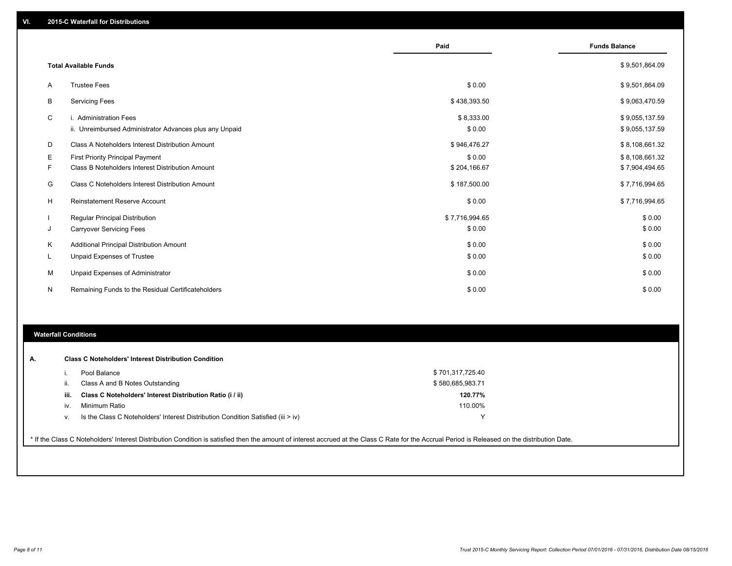|              |                                                         | Paid           | <b>Funds Balance</b> |
|--------------|---------------------------------------------------------|----------------|----------------------|
|              | <b>Total Available Funds</b>                            |                | \$9,501,864.09       |
| $\mathsf{A}$ | <b>Trustee Fees</b>                                     | \$0.00         | \$9,501,864.09       |
| В            | <b>Servicing Fees</b>                                   | \$438,393.50   | \$9,063,470.59       |
| C            | i. Administration Fees                                  | \$8,333.00     | \$9,055,137.59       |
|              | ii. Unreimbursed Administrator Advances plus any Unpaid | \$0.00         | \$9,055,137.59       |
| D            | Class A Noteholders Interest Distribution Amount        | \$946,476.27   | \$8,108,661.32       |
| Е            | <b>First Priority Principal Payment</b>                 | \$0.00         | \$8,108,661.32       |
| F            | Class B Noteholders Interest Distribution Amount        | \$204,166.67   | \$7,904,494.65       |
| G            | Class C Noteholders Interest Distribution Amount        | \$187,500.00   | \$7,716,994.65       |
| н            | <b>Reinstatement Reserve Account</b>                    | \$0.00         | \$7,716,994.65       |
|              | <b>Regular Principal Distribution</b>                   | \$7,716,994.65 | \$0.00               |
| J            | <b>Carryover Servicing Fees</b>                         | \$0.00         | \$0.00               |
| К            | <b>Additional Principal Distribution Amount</b>         | \$0.00         | \$0.00               |
| L.           | Unpaid Expenses of Trustee                              | \$0.00         | \$0.00               |
| М            | Unpaid Expenses of Administrator                        | \$0.00         | \$0.00               |
| N            | Remaining Funds to the Residual Certificateholders      | \$0.00         | \$0.00               |

## **Waterfall Conditions**

|      | Pool Balance                                                                       | \$701,317,725.40 |  |
|------|------------------------------------------------------------------------------------|------------------|--|
|      | Class A and B Notes Outstanding                                                    | \$580,685,983.71 |  |
| iii. | Class C Noteholders' Interest Distribution Ratio (i / ii)                          | 120.77%          |  |
| iv.  | Minimum Ratio                                                                      | 110.00%          |  |
| v.   | Is the Class C Noteholders' Interest Distribution Condition Satisfied (iii $>$ iv) | ν                |  |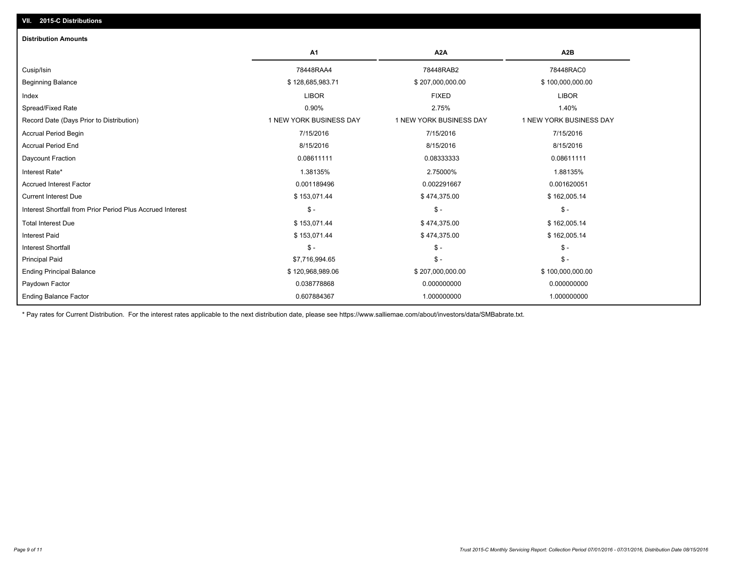| <b>Distribution Amounts</b>                                |                         |                         |                         |
|------------------------------------------------------------|-------------------------|-------------------------|-------------------------|
|                                                            | A1                      | A <sub>2</sub> A        | A <sub>2</sub> B        |
| Cusip/Isin                                                 | 78448RAA4               | 78448RAB2               | 78448RAC0               |
| <b>Beginning Balance</b>                                   | \$128,685,983.71        | \$207,000,000.00        | \$100,000,000.00        |
| Index                                                      | <b>LIBOR</b>            | <b>FIXED</b>            | <b>LIBOR</b>            |
| Spread/Fixed Rate                                          | 0.90%                   | 2.75%                   | 1.40%                   |
| Record Date (Days Prior to Distribution)                   | 1 NEW YORK BUSINESS DAY | 1 NEW YORK BUSINESS DAY | 1 NEW YORK BUSINESS DAY |
| <b>Accrual Period Begin</b>                                | 7/15/2016               | 7/15/2016               | 7/15/2016               |
| <b>Accrual Period End</b>                                  | 8/15/2016               | 8/15/2016               | 8/15/2016               |
| Daycount Fraction                                          | 0.08611111              | 0.08333333              | 0.08611111              |
| Interest Rate*                                             | 1.38135%                | 2.75000%                | 1.88135%                |
| <b>Accrued Interest Factor</b>                             | 0.001189496             | 0.002291667             | 0.001620051             |
| <b>Current Interest Due</b>                                | \$153,071.44            | \$474,375.00            | \$162,005.14            |
| Interest Shortfall from Prior Period Plus Accrued Interest | $\mathsf{\$}$ -         | $\mathcal{S}$ -         | $\mathsf{\$}$ -         |
| <b>Total Interest Due</b>                                  | \$153,071.44            | \$474,375.00            | \$162,005.14            |
| <b>Interest Paid</b>                                       | \$153,071.44            | \$474,375.00            | \$162,005.14            |
| <b>Interest Shortfall</b>                                  | $\mathsf{\$}$ -         | $\mathsf{\$}$ -         | $\mathsf{\$}$ -         |
| <b>Principal Paid</b>                                      | \$7,716,994.65          | $\mathsf S$ -           | $\mathsf{\$}$ -         |
| <b>Ending Principal Balance</b>                            | \$120,968,989.06        | \$207,000,000.00        | \$100,000,000.00        |
| Paydown Factor                                             | 0.038778868             | 0.000000000             | 0.000000000             |
| <b>Ending Balance Factor</b>                               | 0.607884367             | 1.000000000             | 1.000000000             |

\* Pay rates for Current Distribution. For the interest rates applicable to the next distribution date, please see https://www.salliemae.com/about/investors/data/SMBabrate.txt.

**VII. 2015-C Distributions**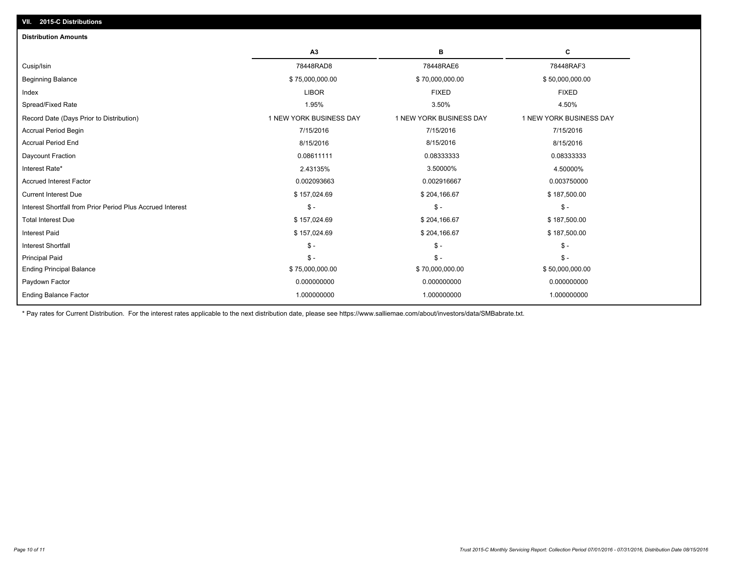| A3<br>в<br>с<br>78448RAD8<br>78448RAE6<br>78448RAF3<br>\$75,000,000.00<br>\$70,000,000.00<br>\$50,000,000.00<br><b>FIXED</b><br><b>LIBOR</b><br><b>FIXED</b><br>3.50%<br>1.95%<br>4.50%<br>1 NEW YORK BUSINESS DAY<br>1 NEW YORK BUSINESS DAY<br>1 NEW YORK BUSINESS DAY<br>7/15/2016<br>7/15/2016<br>7/15/2016<br>8/15/2016<br>8/15/2016<br>8/15/2016<br>0.08611111<br>0.08333333<br>0.08333333<br>2.43135%<br>3.50000%<br>4.50000%<br>0.002093663<br>0.002916667<br>0.003750000<br>\$157,024.69<br>\$187,500.00<br>\$204,166.67<br>$\mathsf{\$}$ -<br>$\mathsf{\$}$ -<br>$\frac{2}{3}$ -<br>\$157,024.69<br>\$204,166.67<br>\$187,500.00<br>\$157,024.69<br>\$204,166.67<br>\$187,500.00<br>$\mathsf{\$}$ -<br>$S -$<br>$\mathsf{\$}$ -<br>$\mathsf{\$}$ -<br>$S -$<br>$\mathsf{\$}$ -<br>\$75,000,000.00<br>\$70,000,000.00<br>\$50,000,000.00<br>0.000000000<br>0.000000000<br>0.000000000<br>1.000000000<br>1.000000000<br>1.000000000 | <b>Distribution Amounts</b>                                |  |  |
|---------------------------------------------------------------------------------------------------------------------------------------------------------------------------------------------------------------------------------------------------------------------------------------------------------------------------------------------------------------------------------------------------------------------------------------------------------------------------------------------------------------------------------------------------------------------------------------------------------------------------------------------------------------------------------------------------------------------------------------------------------------------------------------------------------------------------------------------------------------------------------------------------------------------------------------------|------------------------------------------------------------|--|--|
|                                                                                                                                                                                                                                                                                                                                                                                                                                                                                                                                                                                                                                                                                                                                                                                                                                                                                                                                             |                                                            |  |  |
|                                                                                                                                                                                                                                                                                                                                                                                                                                                                                                                                                                                                                                                                                                                                                                                                                                                                                                                                             | Cusip/Isin                                                 |  |  |
|                                                                                                                                                                                                                                                                                                                                                                                                                                                                                                                                                                                                                                                                                                                                                                                                                                                                                                                                             | <b>Beginning Balance</b>                                   |  |  |
|                                                                                                                                                                                                                                                                                                                                                                                                                                                                                                                                                                                                                                                                                                                                                                                                                                                                                                                                             | Index                                                      |  |  |
|                                                                                                                                                                                                                                                                                                                                                                                                                                                                                                                                                                                                                                                                                                                                                                                                                                                                                                                                             | Spread/Fixed Rate                                          |  |  |
|                                                                                                                                                                                                                                                                                                                                                                                                                                                                                                                                                                                                                                                                                                                                                                                                                                                                                                                                             | Record Date (Days Prior to Distribution)                   |  |  |
|                                                                                                                                                                                                                                                                                                                                                                                                                                                                                                                                                                                                                                                                                                                                                                                                                                                                                                                                             | <b>Accrual Period Begin</b>                                |  |  |
|                                                                                                                                                                                                                                                                                                                                                                                                                                                                                                                                                                                                                                                                                                                                                                                                                                                                                                                                             | <b>Accrual Period End</b>                                  |  |  |
|                                                                                                                                                                                                                                                                                                                                                                                                                                                                                                                                                                                                                                                                                                                                                                                                                                                                                                                                             | Daycount Fraction                                          |  |  |
|                                                                                                                                                                                                                                                                                                                                                                                                                                                                                                                                                                                                                                                                                                                                                                                                                                                                                                                                             | Interest Rate*                                             |  |  |
|                                                                                                                                                                                                                                                                                                                                                                                                                                                                                                                                                                                                                                                                                                                                                                                                                                                                                                                                             | <b>Accrued Interest Factor</b>                             |  |  |
|                                                                                                                                                                                                                                                                                                                                                                                                                                                                                                                                                                                                                                                                                                                                                                                                                                                                                                                                             | <b>Current Interest Due</b>                                |  |  |
|                                                                                                                                                                                                                                                                                                                                                                                                                                                                                                                                                                                                                                                                                                                                                                                                                                                                                                                                             | Interest Shortfall from Prior Period Plus Accrued Interest |  |  |
|                                                                                                                                                                                                                                                                                                                                                                                                                                                                                                                                                                                                                                                                                                                                                                                                                                                                                                                                             | <b>Total Interest Due</b>                                  |  |  |
|                                                                                                                                                                                                                                                                                                                                                                                                                                                                                                                                                                                                                                                                                                                                                                                                                                                                                                                                             | <b>Interest Paid</b>                                       |  |  |
|                                                                                                                                                                                                                                                                                                                                                                                                                                                                                                                                                                                                                                                                                                                                                                                                                                                                                                                                             | <b>Interest Shortfall</b>                                  |  |  |
|                                                                                                                                                                                                                                                                                                                                                                                                                                                                                                                                                                                                                                                                                                                                                                                                                                                                                                                                             | <b>Principal Paid</b>                                      |  |  |
|                                                                                                                                                                                                                                                                                                                                                                                                                                                                                                                                                                                                                                                                                                                                                                                                                                                                                                                                             | <b>Ending Principal Balance</b>                            |  |  |
|                                                                                                                                                                                                                                                                                                                                                                                                                                                                                                                                                                                                                                                                                                                                                                                                                                                                                                                                             | Paydown Factor                                             |  |  |
|                                                                                                                                                                                                                                                                                                                                                                                                                                                                                                                                                                                                                                                                                                                                                                                                                                                                                                                                             | <b>Ending Balance Factor</b>                               |  |  |

\* Pay rates for Current Distribution. For the interest rates applicable to the next distribution date, please see https://www.salliemae.com/about/investors/data/SMBabrate.txt.

**VII. 2015-C Distributions**